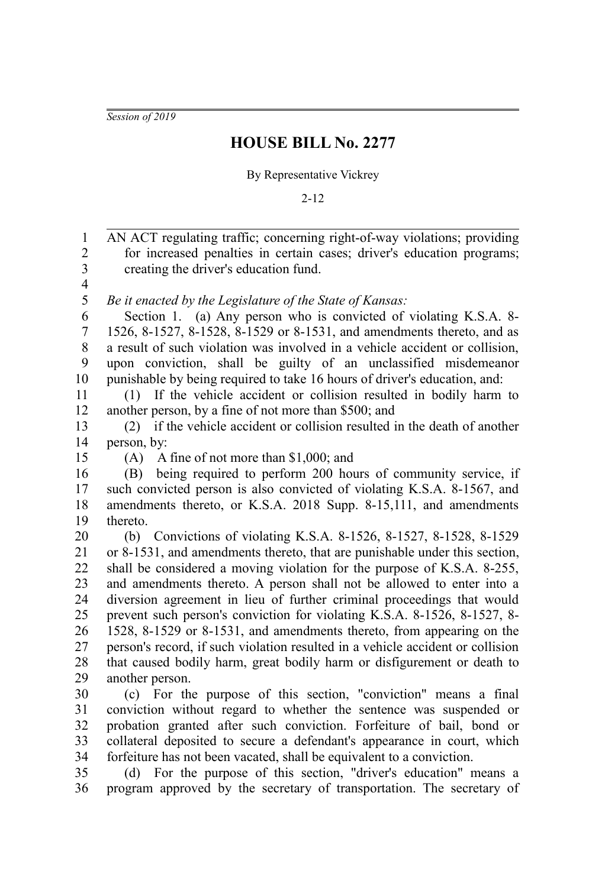*Session of 2019*

## **HOUSE BILL No. 2277**

By Representative Vickrey

2-12

AN ACT regulating traffic; concerning right-of-way violations; providing for increased penalties in certain cases; driver's education programs; creating the driver's education fund. *Be it enacted by the Legislature of the State of Kansas:* Section 1. (a) Any person who is convicted of violating K.S.A. 8- 1526, 8-1527, 8-1528, 8-1529 or 8-1531, and amendments thereto, and as a result of such violation was involved in a vehicle accident or collision, upon conviction, shall be guilty of an unclassified misdemeanor punishable by being required to take 16 hours of driver's education, and: (1) If the vehicle accident or collision resulted in bodily harm to another person, by a fine of not more than \$500; and (2) if the vehicle accident or collision resulted in the death of another person, by: (A) A fine of not more than \$1,000; and (B) being required to perform 200 hours of community service, if such convicted person is also convicted of violating K.S.A. 8-1567, and amendments thereto, or K.S.A. 2018 Supp. 8-15,111, and amendments thereto. (b) Convictions of violating K.S.A. 8-1526, 8-1527, 8-1528, 8-1529 or 8-1531, and amendments thereto, that are punishable under this section, shall be considered a moving violation for the purpose of K.S.A. 8-255, and amendments thereto. A person shall not be allowed to enter into a diversion agreement in lieu of further criminal proceedings that would prevent such person's conviction for violating K.S.A. 8-1526, 8-1527, 8- 1528, 8-1529 or 8-1531, and amendments thereto, from appearing on the person's record, if such violation resulted in a vehicle accident or collision that caused bodily harm, great bodily harm or disfigurement or death to another person. (c) For the purpose of this section, "conviction" means a final conviction without regard to whether the sentence was suspended or probation granted after such conviction. Forfeiture of bail, bond or collateral deposited to secure a defendant's appearance in court, which forfeiture has not been vacated, shall be equivalent to a conviction. (d) For the purpose of this section, "driver's education" means a program approved by the secretary of transportation. The secretary of 1 2 3 4 5 6 7 8 9 10 11 12 13 14 15 16 17 18 19 20 21 22 23 24 25 26 27 28 29 30 31 32 33 34 35 36